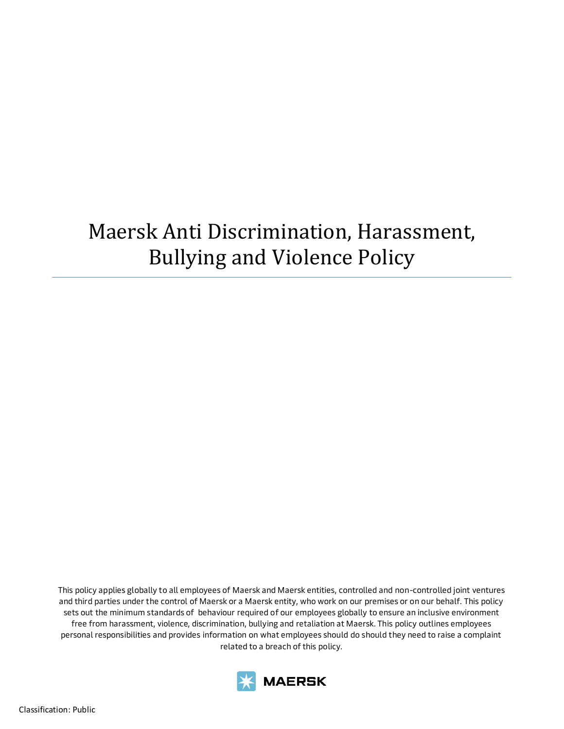# Maersk Anti Discrimination, Harassment, Bullying and Violence Policy

This policy applies globally to all employees of Maersk and Maersk entities, controlled and non-controlled joint ventures and third parties under the control of Maersk or a Maersk entity, who work on our premises or on our behalf. This policy sets out the minimum standards of behaviour required of our employees globally to ensure an inclusive environment free from harassment, violence, discrimination, bullying and retaliation at Maersk. This policy outlines employees personal responsibilities and provides information on what employees should do should they need to raise a complaint related to a breach of this policy.

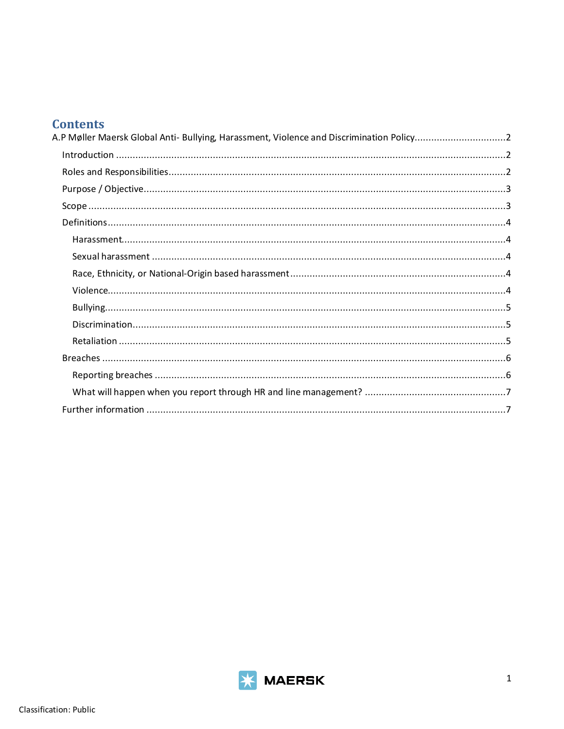# **Contents**

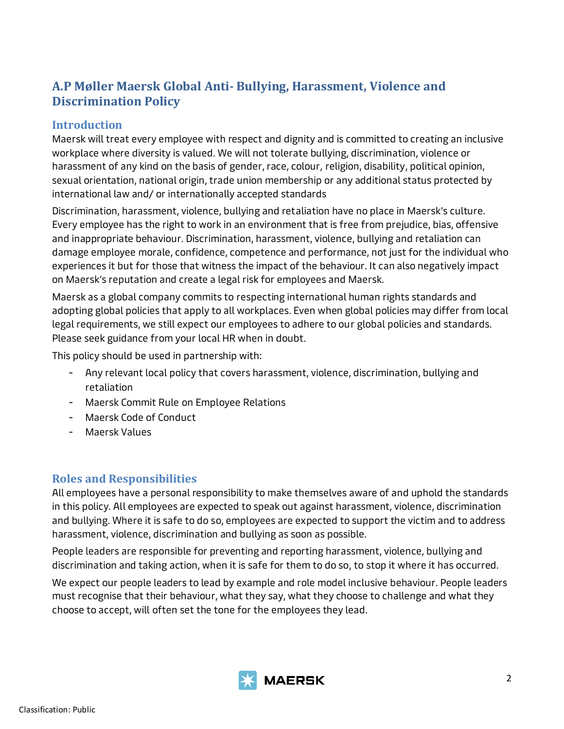# <span id="page-2-0"></span>**A.P Møller Maersk Global Anti- Bullying, Harassment, Violence and Discrimination Policy**

## <span id="page-2-1"></span>**Introduction**

Maersk will treat every employee with respect and dignity and is committed to creating an inclusive workplace where diversity is valued. We will not tolerate bullying, discrimination, violence or harassment of any kind on the basis of gender, race, colour, religion, disability, political opinion, sexual orientation, national origin, trade union membership or any additional status protected by international law and/ or internationally accepted standards

Discrimination, harassment, violence, bullying and retaliation have no place in Maersk's culture. Every employee has the right to work in an environment that is free from prejudice, bias, offensive and inappropriate behaviour. Discrimination, harassment, violence, bullying and retaliation can damage employee morale, confidence, competence and performance, not just for the individual who experiences it but for those that witness the impact of the behaviour. It can also negatively impact on Maersk's reputation and create a legal risk for employees and Maersk.

Maersk as a global company commits to respecting international human rights standards and adopting global policies that apply to all workplaces. Even when global policies may differ from local legal requirements, we still expect our employees to adhere to our global policies and standards. Please seek guidance from your local HR when in doubt.

This policy should be used in partnership with:

- Any relevant local policy that covers harassment, violence, discrimination, bullying and retaliation
- Maersk Commit Rule on Employee Relations
- Maersk Code of Conduct
- Maersk Values

## <span id="page-2-2"></span>**Roles and Responsibilities**

All employees have a personal responsibility to make themselves aware of and uphold the standards in this policy. All employees are expected to speak out against harassment, violence, discrimination and bullying. Where it is safe to do so, employees are expected to support the victim and to address harassment, violence, discrimination and bullying as soon as possible.

People leaders are responsible for preventing and reporting harassment, violence, bullying and discrimination and taking action, when it is safe for them to do so, to stop it where it has occurred.

We expect our people leaders to lead by example and role model inclusive behaviour. People leaders must recognise that their behaviour, what they say, what they choose to challenge and what they choose to accept, will often set the tone for the employees they lead.

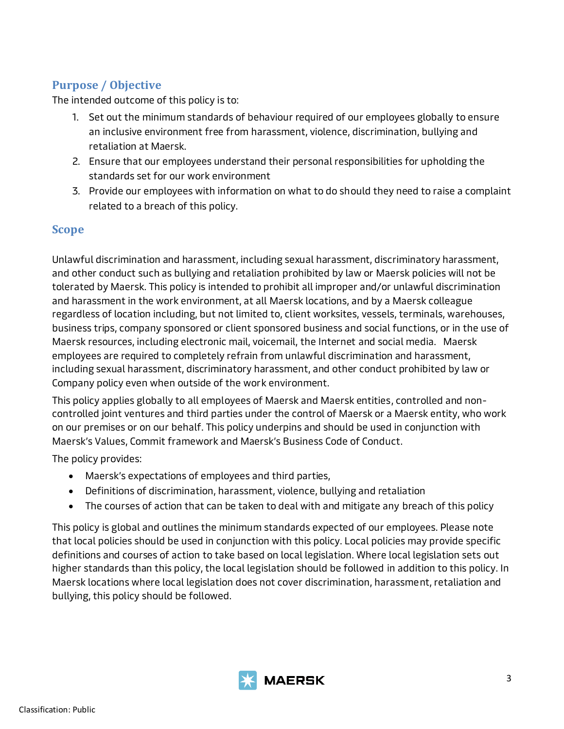# <span id="page-3-0"></span>**Purpose / Objective**

The intended outcome of this policy is to:

- 1. Set out the minimum standards of behaviour required of our employees globally to ensure an inclusive environment free from harassment, violence, discrimination, bullying and retaliation at Maersk.
- 2. Ensure that our employees understand their personal responsibilities for upholding the standards set for our work environment
- 3. Provide our employees with information on what to do should they need to raise a complaint related to a breach of this policy.

## <span id="page-3-1"></span>**Scope**

Unlawful discrimination and harassment, including sexual harassment, discriminatory harassment, and other conduct such as bullying and retaliation prohibited by law or Maersk policies will not be tolerated by Maersk. This policy is intended to prohibit all improper and/or unlawful discrimination and harassment in the work environment, at all Maersk locations, and by a Maersk colleague regardless of location including, but not limited to, client worksites, vessels, terminals, warehouses, business trips, company sponsored or client sponsored business and social functions, or in the use of Maersk resources, including electronic mail, voicemail, the Internet and social media. Maersk employees are required to completely refrain from unlawful discrimination and harassment, including sexual harassment, discriminatory harassment, and other conduct prohibited by law or Company policy even when outside of the work environment.

This policy applies globally to all employees of Maersk and Maersk entities, controlled and noncontrolled joint ventures and third parties under the control of Maersk or a Maersk entity, who work on our premises or on our behalf. This policy underpins and should be used in conjunction with Maersk's Values, Commit framework and Maersk's Business Code of Conduct.

The policy provides:

- Maersk's expectations of employees and third parties,
- Definitions of discrimination, harassment, violence, bullying and retaliation
- The courses of action that can be taken to deal with and mitigate any breach of this policy

This policy is global and outlines the minimum standards expected of our employees. Please note that local policies should be used in conjunction with this policy. Local policies may provide specific definitions and courses of action to take based on local legislation. Where local legislation sets out higher standards than this policy, the local legislation should be followed in addition to this policy. In Maersk locations where local legislation does not cover discrimination, harassment, retaliation and bullying, this policy should be followed.

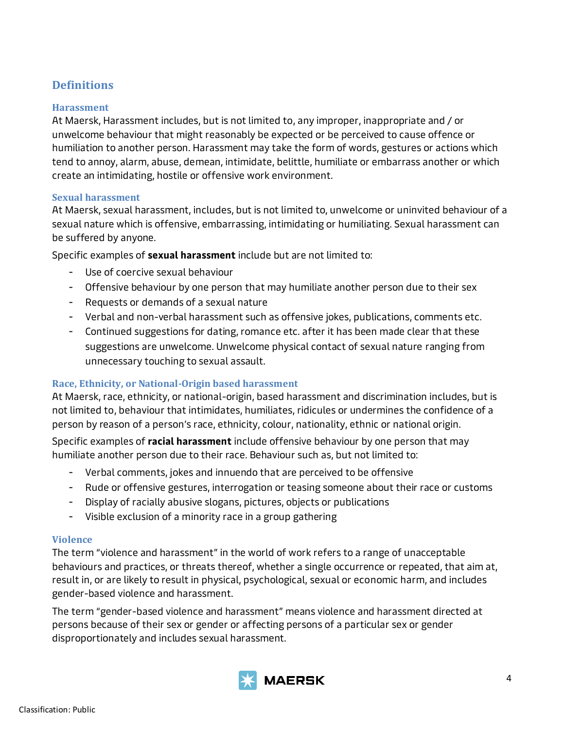## <span id="page-4-0"></span>**Definitions**

#### <span id="page-4-1"></span>**Harassment**

At Maersk, Harassment includes, but is not limited to, any improper, inappropriate and / or unwelcome behaviour that might reasonably be expected or be perceived to cause offence or humiliation to another person. Harassment may take the form of words, gestures or actions which tend to annoy, alarm, abuse, demean, intimidate, belittle, humiliate or embarrass another or which create an intimidating, hostile or offensive work environment.

#### <span id="page-4-2"></span>**Sexual harassment**

At Maersk, sexual harassment, includes, but is not limited to, unwelcome or uninvited behaviour of a sexual nature which is offensive, embarrassing, intimidating or humiliating. Sexual harassment can be suffered by anyone.

Specific examples of **sexual harassment** include but are not limited to:

- Use of coercive sexual behaviour
- Offensive behaviour by one person that may humiliate another person due to their sex
- Requests or demands of a sexual nature
- Verbal and non-verbal harassment such as offensive jokes, publications, comments etc.
- Continued suggestions for dating, romance etc. after it has been made clear that these suggestions are unwelcome. Unwelcome physical contact of sexual nature ranging from unnecessary touching to sexual assault.

#### <span id="page-4-3"></span>**Race, Ethnicity, or National-Origin based harassment**

At Maersk, race, ethnicity, or national-origin, based harassment and discrimination includes, but is not limited to, behaviour that intimidates, humiliates, ridicules or undermines the confidence of a person by reason of a person's race, ethnicity, colour, nationality, ethnic or national origin.

Specific examples of **racial harassment** include offensive behaviour by one person that may humiliate another person due to their race. Behaviour such as, but not limited to:

- Verbal comments, jokes and innuendo that are perceived to be offensive
- Rude or offensive gestures, interrogation or teasing someone about their race or customs
- Display of racially abusive slogans, pictures, objects or publications
- Visible exclusion of a minority race in a group gathering

#### <span id="page-4-4"></span>**Violence**

The term "violence and harassment" in the world of work refers to a range of unacceptable behaviours and practices, or threats thereof, whether a single occurrence or repeated, that aim at, result in, or are likely to result in physical, psychological, sexual or economic harm, and includes gender-based violence and harassment.

The term "gender-based violence and harassment" means violence and harassment directed at persons because of their sex or gender or affecting persons of a particular sex or gender disproportionately and includes sexual harassment.

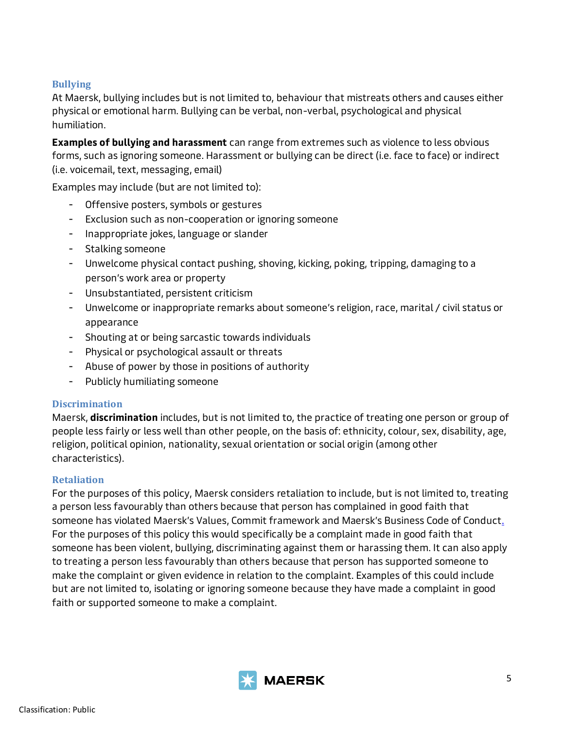#### <span id="page-5-0"></span>**Bullying**

At Maersk, bullying includes but is not limited to, behaviour that mistreats others and causes either physical or emotional harm. Bullying can be verbal, non-verbal, psychological and physical humiliation.

**Examples of bullying and harassment** can range from extremes such as violence to less obvious forms, such as ignoring someone. Harassment or bullying can be direct (i.e. face to face) or indirect (i.e. voicemail, text, messaging, email)

Examples may include (but are not limited to):

- Offensive posters, symbols or gestures
- Exclusion such as non-cooperation or ignoring someone
- Inappropriate jokes, language or slander
- Stalking someone
- Unwelcome physical contact pushing, shoving, kicking, poking, tripping, damaging to a person's work area or property
- Unsubstantiated, persistent criticism
- Unwelcome or inappropriate remarks about someone's religion, race, marital / civil status or appearance
- Shouting at or being sarcastic towards individuals
- Physical or psychological assault or threats
- Abuse of power by those in positions of authority
- Publicly humiliating someone

#### <span id="page-5-1"></span>**Discrimination**

Maersk, **discrimination** includes, but is not limited to, the practice of treating one person or group of people less fairly or less well than other people, on the basis of: ethnicity, colour, sex, disability, age, religion, political opinion, nationality, sexual orientation or social origin (among other characteristics).

#### <span id="page-5-2"></span>**Retaliation**

For the purposes of this policy, Maersk considers retaliation to include, but is not limited to, treating a person less favourably than others because that person has complained in good faith that someone has violated Maersk's Values, Commit framework and Maersk's Business Code of Conduct. For the purposes of this policy this would specifically be a complaint made in good faith that someone has been violent, bullying, discriminating against them or harassing them. It can also apply to treating a person less favourably than others because that person has supported someone to make the complaint or given evidence in relation to the complaint. Examples of this could include but are not limited to, isolating or ignoring someone because they have made a complaint in good faith or supported someone to make a complaint.

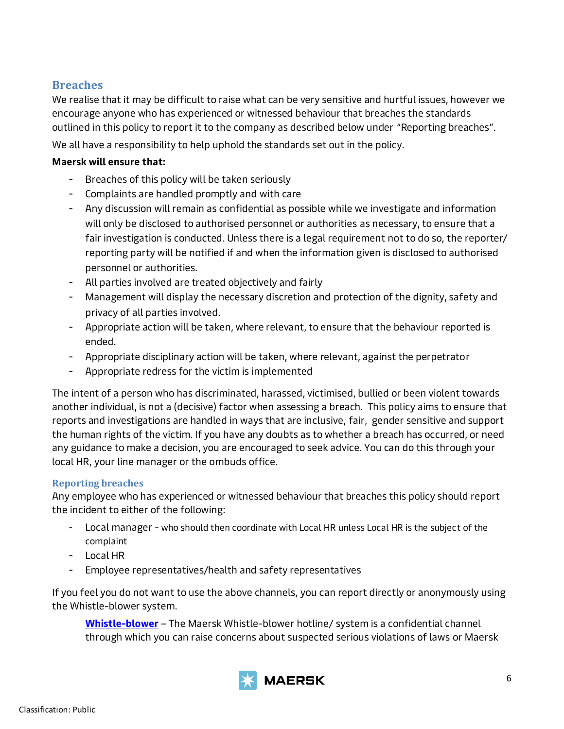## <span id="page-6-0"></span>**Breaches**

We realise that it may be difficult to raise what can be very sensitive and hurtful issues, however we encourage anyone who has experienced or witnessed behaviour that breaches the standards outlined in this policy to report it to the company as described below under "Reporting breaches".

We all have a responsibility to help uphold the standards set out in the policy.

#### **Maersk will ensure that:**

- Breaches of this policy will be taken seriously
- Complaints are handled promptly and with care
- Any discussion will remain as confidential as possible while we investigate and information will only be disclosed to authorised personnel or authorities as necessary, to ensure that a fair investigation is conducted. Unless there is a legal requirement not to do so, the reporter/ reporting party will be notified if and when the information given is disclosed to authorised personnel or authorities.
- All parties involved are treated objectively and fairly
- Management will display the necessary discretion and protection of the dignity, safety and privacy of all parties involved.
- Appropriate action will be taken, where relevant, to ensure that the behaviour reported is ended.
- Appropriate disciplinary action will be taken, where relevant, against the perpetrator
- Appropriate redress for the victim is implemented

The intent of a person who has discriminated, harassed, victimised, bullied or been violent towards another individual, is not a (decisive) factor when assessing a breach. This policy aims to ensure that reports and investigations are handled in ways that are inclusive, fair, gender sensitive and support the human rights of the victim. If you have any doubts as to whether a breach has occurred, or need any guidance to make a decision, you are encouraged to seek advice. You can do this through your local HR, your line manager or the ombuds office.

## <span id="page-6-1"></span>**Reporting breaches**

Any employee who has experienced or witnessed behaviour that breaches this policy should report the incident to either of the following:

- Local manager who should then coordinate with Local HR unless Local HR is the subject of the complaint
- Local HR
- Employee representatives/health and safety representatives

If you feel you do not want to use the above channels, you can report directly or anonymously using the Whistle-blower system.

**[Whistle-blower](https://secure.ethicspoint.eu/domain/media/en/gui/102833/)** – The Maersk Whistle-blower hotline/ system is a confidential channel through which you can raise concerns about suspected serious violations of laws or Maersk